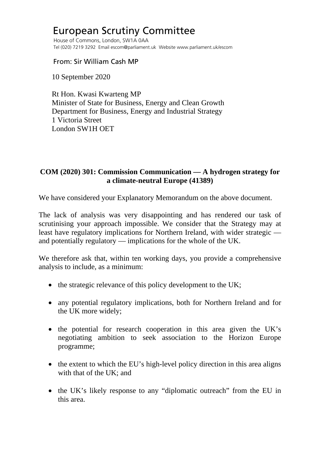## European Scrutiny Committee

 House of Commons, London, SW1A 0AA Tel (020) 7219 3292 Email escom@parliament.uk Website www.parliament.uk/escom

From: Sir William Cash MP

10 September 2020

 Rt Hon. Kwasi Kwarteng MP Minister of State for Business, Energy and Clean Growth Department for Business, Energy and Industrial Strategy 1 Victoria Street London SW1H OET

## **COM (2020) 301: Commission Communication — A hydrogen strategy for a climate-neutral Europe (41389)**

We have considered your Explanatory Memorandum on the above document.

The lack of analysis was very disappointing and has rendered our task of scrutinising your approach impossible. We consider that the Strategy may at least have regulatory implications for Northern Ireland, with wider strategic and potentially regulatory — implications for the whole of the UK.

We therefore ask that, within ten working days, you provide a comprehensive analysis to include, as a minimum:

- the strategic relevance of this policy development to the UK;
- any potential regulatory implications, both for Northern Ireland and for the UK more widely;
- the potential for research cooperation in this area given the UK's negotiating ambition to seek association to the Horizon Europe programme;
- the extent to which the EU's high-level policy direction in this area aligns with that of the UK; and
- the UK's likely response to any "diplomatic outreach" from the EU in this area.